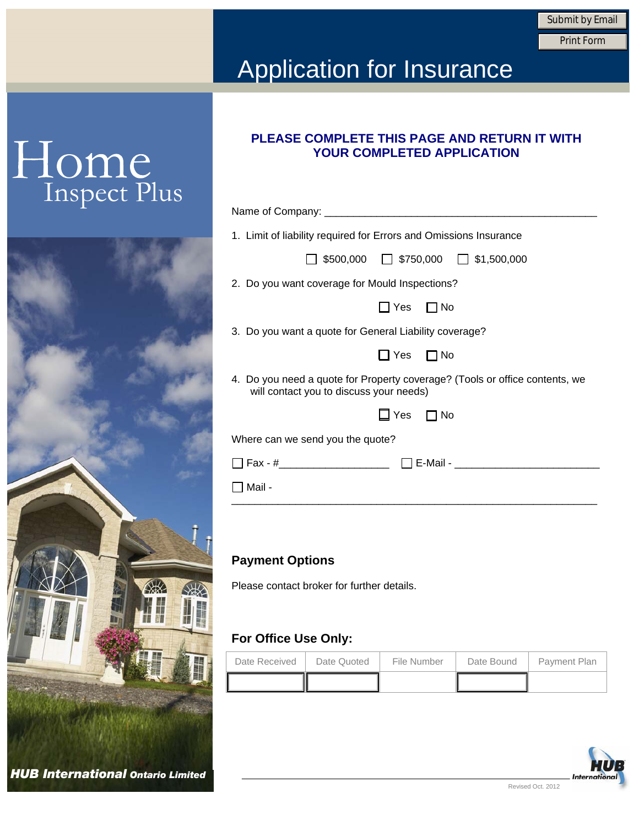Submit by Email<br>Print Form

### Application for Insurance

## Home<br>Inspect Plus



| PLEASE COMPLETE THIS PAGE AND RETURN IT WITH |  |
|----------------------------------------------|--|
| <b>YOUR COMPLETED APPLICATION</b>            |  |

| 1. Limit of liability required for Errors and Omissions Insurance                                                      |
|------------------------------------------------------------------------------------------------------------------------|
| $\Box$ \$500,000 $\Box$ \$750,000 $\Box$ \$1,500,000                                                                   |
| 2. Do you want coverage for Mould Inspections?                                                                         |
| $\Box$ Yes $\Box$ No                                                                                                   |
| 3. Do you want a quote for General Liability coverage?                                                                 |
| $\Box$ Yes $\Box$ No                                                                                                   |
| 4. Do you need a quote for Property coverage? (Tools or office contents, we<br>will contact you to discuss your needs) |
| Yes $\Box$ No                                                                                                          |
| Where can we send you the quote?                                                                                       |
|                                                                                                                        |
| Mail -                                                                                                                 |
|                                                                                                                        |

#### **Payment Options**

Please contact broker for further details.

### **For Office Use Only:**

| Date Received | Date Quoted | File Number | Date Bound | <b>Payment Plan</b> |
|---------------|-------------|-------------|------------|---------------------|
|               |             |             |            |                     |

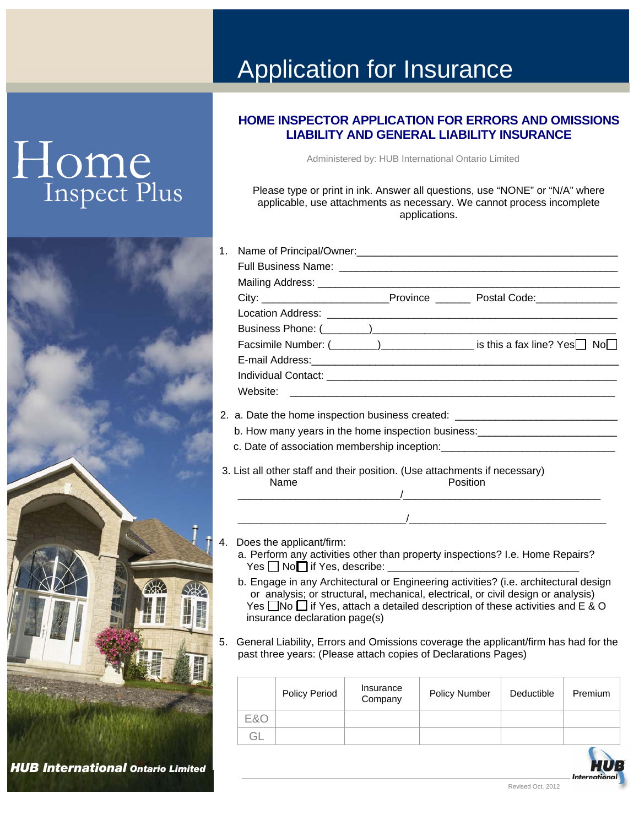# Home<br>Inspect Plus



### Application for Insurance

#### **HOME INSPECTOR APPLICATION FOR ERRORS AND OMISSIONS LIABILITY AND GENERAL LIABILITY INSURANCE**

Administered by: HUB International Ontario Limited

Please type or print in ink. Answer all questions, use "NONE" or "N/A" where applicable, use attachments as necessary. We cannot process incomplete applications.

- 1. Name of Principal/Owner:\_\_\_\_\_\_\_\_\_\_\_\_\_\_\_\_\_\_\_\_\_\_\_\_\_\_\_\_\_\_\_\_\_\_\_\_\_\_\_\_\_\_\_\_\_ Full Business Name: \_\_\_\_\_\_\_\_\_\_\_\_\_\_\_\_\_\_\_\_\_\_\_\_\_\_\_\_\_\_\_\_\_\_\_\_\_\_\_\_\_\_\_\_\_\_\_\_ Mailing Address: City: \_\_\_\_\_\_\_\_\_\_\_\_\_\_\_\_\_\_\_\_\_\_Province \_\_\_\_\_\_ Postal Code:\_\_\_\_\_\_\_\_\_\_\_\_\_\_ Location Address: Business Phone: (  $\qquad \qquad$  ) Facsimile Number:  $(\_\_\_\_\_)$ E-mail Address: Individual Contact: **with a set of the set of the set of the set of the set of the set of the set of the set of the set of the set of the set of the set of the set of the set of the set of the set of the set of the set of** Website:
- 2. a. Date the home inspection business created: \_\_\_\_\_\_\_\_\_\_\_\_\_\_\_\_\_\_\_\_\_\_\_\_\_\_\_\_\_\_\_
	- b. How many years in the home inspection business: **with any many years** in the home inspection business:
	- c. Date of association membership inception:
- 3. List all other staff and their position. (Use attachments if necessary) Name **Position** \_\_\_\_\_\_\_\_\_\_\_\_\_\_\_\_\_\_\_\_\_\_\_\_\_\_\_\_/\_\_\_\_\_\_\_\_\_\_\_\_\_\_\_\_\_\_\_\_\_\_\_\_\_\_\_\_\_\_\_\_\_\_
- 4. Does the applicant/firm:
	- a. Perform any activities other than property inspections? I.e. Home Repairs?  $Yes \Box No \Box$  if Yes, describe:

 $\overline{1}$  , the contract of the contract of the contract of the contract of the contract of the contract of the contract of the contract of the contract of the contract of the contract of the contract of the contract of th

- b. Engage in any Architectural or Engineering activities? (i.e. architectural design or analysis; or structural, mechanical, electrical, or civil design or analysis) Yes  $\Box$  No  $\Box$  if Yes, attach a detailed description of these activities and E & O insurance declaration page(s)
- 5. General Liability, Errors and Omissions coverage the applicant/firm has had for the past three years: (Please attach copies of Declarations Pages)

|     | <b>Policy Period</b> | Insurance<br>Company | <b>Policy Number</b> | Deductible | Premium |
|-----|----------------------|----------------------|----------------------|------------|---------|
| E&C |                      |                      |                      |            |         |
| ÷Π  |                      |                      |                      |            |         |
|     |                      |                      |                      |            |         |

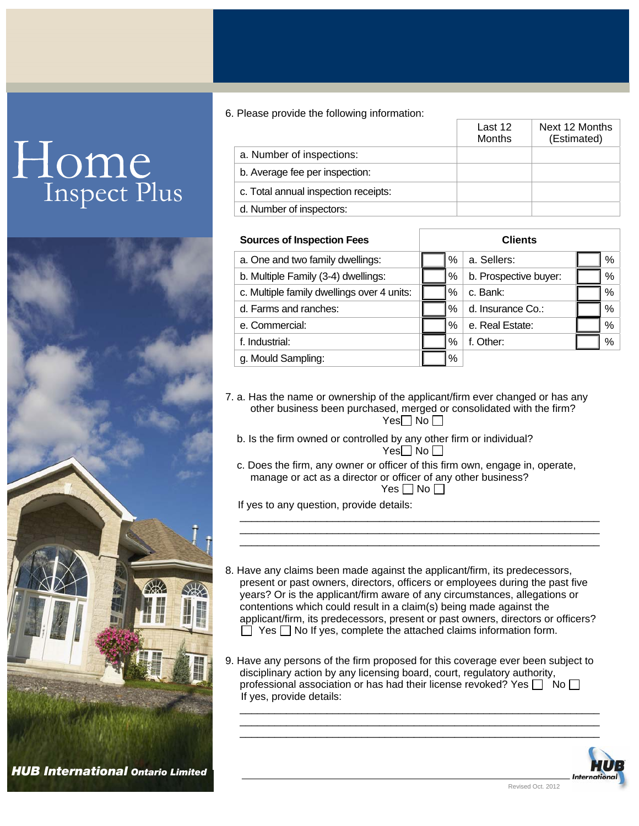# Home<br>Inspect Plus



6. Please provide the following information:

|                                      | Last 12<br>Months | Next 12 Months<br>(Estimated) |
|--------------------------------------|-------------------|-------------------------------|
| a. Number of inspections:            |                   |                               |
| b. Average fee per inspection:       |                   |                               |
| c. Total annual inspection receipts: |                   |                               |
| d. Number of inspectors:             |                   |                               |

| <b>Sources of Inspection Fees</b>          | <b>Clients</b> |      |                       |  |      |
|--------------------------------------------|----------------|------|-----------------------|--|------|
| a. One and two family dwellings:           |                | %    | a. Sellers:           |  | %    |
| b. Multiple Family (3-4) dwellings:        |                | %    | b. Prospective buyer: |  | $\%$ |
| c. Multiple family dwellings over 4 units: |                | $\%$ | c. Bank:              |  | %    |
| d. Farms and ranches:                      |                | $\%$ | d. Insurance Co.:     |  | %    |
| e. Commercial:                             |                | $\%$ | e. Real Estate:       |  | %    |
| f. Industrial:                             |                | $\%$ | f. Other:             |  | %    |
| g. Mould Sampling:                         |                | %    |                       |  |      |

7. a. Has the name or ownership of the applicant/firm ever changed or has any other business been purchased, merged or consolidated with the firm?  $Yes \Box No \Box$ 

- b. Is the firm owned or controlled by any other firm or individual?  $Yes \Box No \Box$
- c. Does the firm, any owner or officer of this firm own, engage in, operate, manage or act as a director or officer of any other business? Yes  $\Box$  No  $\Box$

\_\_\_\_\_\_\_\_\_\_\_\_\_\_\_\_\_\_\_\_\_\_\_\_\_\_\_\_\_\_\_\_\_\_\_\_\_\_\_\_\_\_\_\_\_\_\_\_\_\_\_\_\_\_\_\_\_\_\_\_\_\_ \_\_\_\_\_\_\_\_\_\_\_\_\_\_\_\_\_\_\_\_\_\_\_\_\_\_\_\_\_\_\_\_\_\_\_\_\_\_\_\_\_\_\_\_\_\_\_\_\_\_\_\_\_\_\_\_\_\_\_\_\_\_ \_\_\_\_\_\_\_\_\_\_\_\_\_\_\_\_\_\_\_\_\_\_\_\_\_\_\_\_\_\_\_\_\_\_\_\_\_\_\_\_\_\_\_\_\_\_\_\_\_\_\_\_\_\_\_\_\_\_\_\_\_\_

If yes to any question, provide details:

- 8. Have any claims been made against the applicant/firm, its predecessors, present or past owners, directors, officers or employees during the past five years? Or is the applicant/firm aware of any circumstances, allegations or contentions which could result in a claim(s) being made against the applicant/firm, its predecessors, present or past owners, directors or officers?  $\Box$  Yes  $\Box$  No If yes, complete the attached claims information form.
- 9. Have any persons of the firm proposed for this coverage ever been subject to disciplinary action by any licensing board, court, regulatory authority, professional association or has had their license revoked? Yes  $\Box$  No  $\Box$ If yes, provide details:

\_\_\_\_\_\_\_\_\_\_\_\_\_\_\_\_\_\_\_\_\_\_\_\_\_\_\_\_\_\_\_\_\_\_\_\_\_\_\_\_\_\_\_\_\_\_\_\_\_\_\_\_\_\_\_\_\_\_\_\_\_\_ \_\_\_\_\_\_\_\_\_\_\_\_\_\_\_\_\_\_\_\_\_\_\_\_\_\_\_\_\_\_\_\_\_\_\_\_\_\_\_\_\_\_\_\_\_\_\_\_\_\_\_\_\_\_\_\_\_\_\_\_\_\_ \_\_\_\_\_\_\_\_\_\_\_\_\_\_\_\_\_\_\_\_\_\_\_\_\_\_\_\_\_\_\_\_\_\_\_\_\_\_\_\_\_\_\_\_\_\_\_\_\_\_\_\_\_\_\_\_\_\_\_\_\_\_

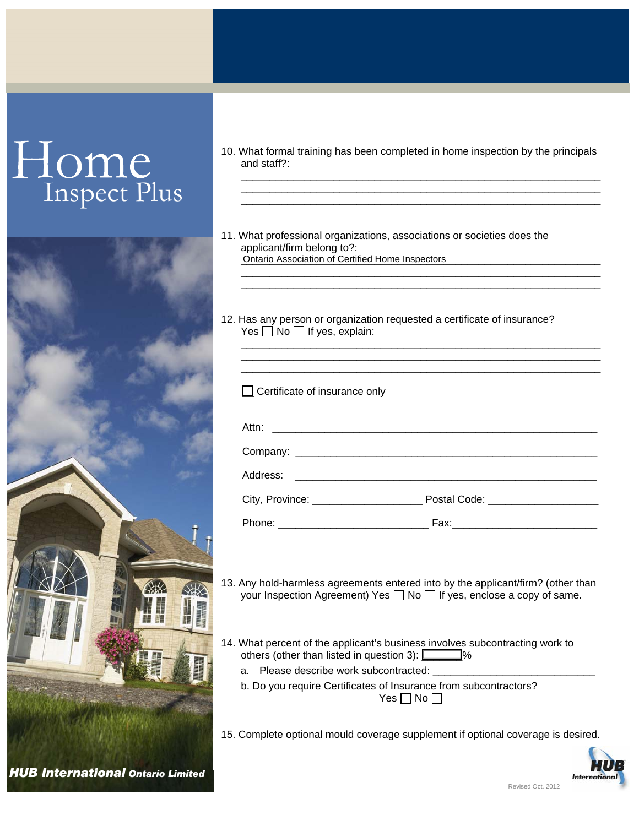# Inspect Plus



10. What formal training has been completed in home inspection by the principals and staff?:

\_\_\_\_\_\_\_\_\_\_\_\_\_\_\_\_\_\_\_\_\_\_\_\_\_\_\_\_\_\_\_\_\_\_\_\_\_\_\_\_\_\_\_\_\_\_\_\_\_\_\_\_\_\_\_\_\_\_\_\_\_\_ \_\_\_\_\_\_\_\_\_\_\_\_\_\_\_\_\_\_\_\_\_\_\_\_\_\_\_\_\_\_\_\_\_\_\_\_\_\_\_\_\_\_\_\_\_\_\_\_\_\_\_\_\_\_\_\_\_\_\_\_\_\_ \_\_\_\_\_\_\_\_\_\_\_\_\_\_\_\_\_\_\_\_\_\_\_\_\_\_\_\_\_\_\_\_\_\_\_\_\_\_\_\_\_\_\_\_\_\_\_\_\_\_\_\_\_\_\_\_\_\_\_\_\_\_

\_\_\_\_\_\_\_\_\_\_\_\_\_\_\_\_\_\_\_\_\_\_\_\_\_\_\_\_\_\_\_\_\_\_\_\_\_\_\_\_\_\_\_\_\_\_\_\_\_\_\_\_\_\_\_\_\_\_\_\_\_\_ \_\_\_\_\_\_\_\_\_\_\_\_\_\_\_\_\_\_\_\_\_\_\_\_\_\_\_\_\_\_\_\_\_\_\_\_\_\_\_\_\_\_\_\_\_\_\_\_\_\_\_\_\_\_\_\_\_\_\_\_\_\_

\_\_\_\_\_\_\_\_\_\_\_\_\_\_\_\_\_\_\_\_\_\_\_\_\_\_\_\_\_\_\_\_\_\_\_\_\_\_\_\_\_\_\_\_\_\_\_\_\_\_\_\_\_\_\_\_\_\_\_\_\_\_ \_\_\_\_\_\_\_\_\_\_\_\_\_\_\_\_\_\_\_\_\_\_\_\_\_\_\_\_\_\_\_\_\_\_\_\_\_\_\_\_\_\_\_\_\_\_\_\_\_\_\_\_\_\_\_\_\_\_\_\_\_\_ \_\_\_\_\_\_\_\_\_\_\_\_\_\_\_\_\_\_\_\_\_\_\_\_\_\_\_\_\_\_\_\_\_\_\_\_\_\_\_\_\_\_\_\_\_\_\_\_\_\_\_\_\_\_\_\_\_\_\_\_\_\_

- 11. What professional organizations, associations or societies does the applicant/firm belong to?: \_\_\_\_\_\_\_\_\_\_\_\_\_\_\_\_\_\_\_\_\_\_\_\_\_\_\_\_\_\_\_\_\_\_\_\_\_\_\_\_\_\_\_\_\_\_\_\_\_\_\_\_\_\_\_\_\_\_\_\_\_\_ Ontario Association of Certified Home Inspectors
- 12. Has any person or organization requested a certificate of insurance? Yes  $\Box$  No  $\Box$  If yes, explain:

| $\Box$ Certificate of insurance only    |                                     |
|-----------------------------------------|-------------------------------------|
|                                         |                                     |
|                                         |                                     |
|                                         |                                     |
| City, Province: _______________________ | Postal Code: ______________________ |
|                                         |                                     |

- 13. Any hold-harmless agreements entered into by the applicant/firm? (other than your Inspection Agreement) Yes  $\Box$  No  $\Box$  If yes, enclose a copy of same.
- 14. What percent of the applicant's business involves subcontracting work to others (other than listed in question 3):  $\sim$ 
	- a. Please describe work subcontracted:
	- b. Do you require Certificates of Insurance from subcontractors? Yes  $\Box$  No  $\Box$
- 15. Complete optional mould coverage supplement if optional coverage is desired.

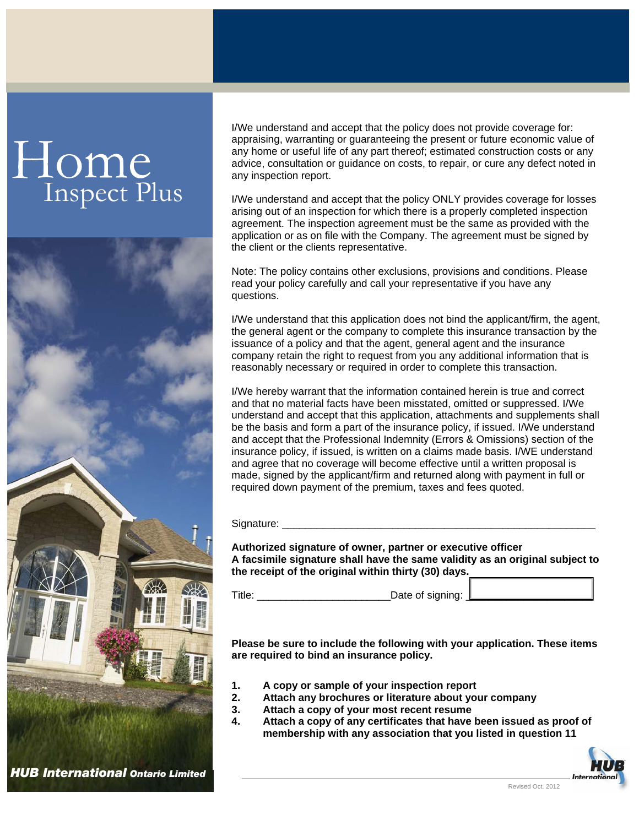## Home<br>Inspect Plus



I/We understand and accept that the policy does not provide coverage for: appraising, warranting or guaranteeing the present or future economic value of any home or useful life of any part thereof; estimated construction costs or any advice, consultation or guidance on costs, to repair, or cure any defect noted in any inspection report.

I/We understand and accept that the policy ONLY provides coverage for losses arising out of an inspection for which there is a properly completed inspection agreement. The inspection agreement must be the same as provided with the application or as on file with the Company. The agreement must be signed by the client or the clients representative.

Note: The policy contains other exclusions, provisions and conditions. Please read your policy carefully and call your representative if you have any questions.

I/We understand that this application does not bind the applicant/firm, the agent, the general agent or the company to complete this insurance transaction by the issuance of a policy and that the agent, general agent and the insurance company retain the right to request from you any additional information that is reasonably necessary or required in order to complete this transaction.

I/We hereby warrant that the information contained herein is true and correct and that no material facts have been misstated, omitted or suppressed. I/We understand and accept that this application, attachments and supplements shall be the basis and form a part of the insurance policy, if issued. I/We understand and accept that the Professional Indemnity (Errors & Omissions) section of the insurance policy, if issued, is written on a claims made basis. I/WE understand and agree that no coverage will become effective until a written proposal is made, signed by the applicant/firm and returned along with payment in full or required down payment of the premium, taxes and fees quoted.

Signature: \_\_\_\_\_\_\_\_\_\_\_\_\_\_\_\_\_\_\_\_\_\_\_\_\_\_\_\_\_\_\_\_\_\_\_\_\_\_\_\_\_\_\_\_\_\_\_\_\_\_\_\_\_\_

**Authorized signature of owner, partner or executive officer A facsimile signature shall have the same validity as an original subject to the receipt of the original within thirty (30) days.** 

Title: \_\_\_\_\_\_\_\_\_\_\_\_\_\_\_\_\_\_\_\_\_\_\_Date of signing: \_\_\_\_\_\_\_\_\_\_\_\_\_\_\_\_\_\_\_\_\_\_

**Please be sure to include the following with your application. These items are required to bind an insurance policy.** 

- **1. A copy or sample of your inspection report**
- **2. Attach any brochures or literature about your company**
- **3. Attach a copy of your most recent resume**
- **4. Attach a copy of any certificates that have been issued as proof of membership with any association that you listed in question 11**

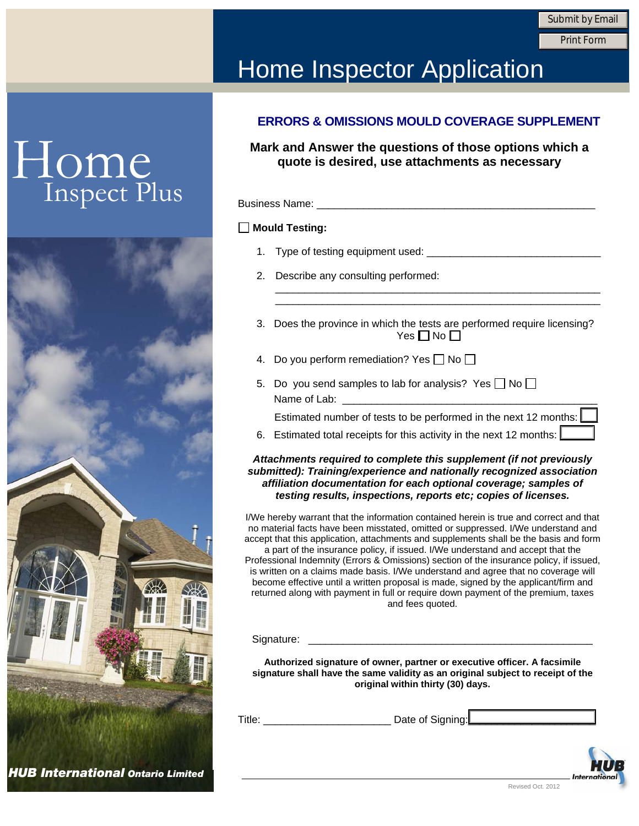Print Form

### Home Inspector Application

## Home<br>Inspect Plus



#### **ERRORS & OMISSIONS MOULD COVERAGE SUPPLEMENT**

**Mark and Answer the questions of those options which a quote is desired, use attachments as necessary** 

| <b>Business Name:</b> |  |
|-----------------------|--|
|                       |  |

#### **Mould Testing:**

- 1. Type of testing equipment used: \_\_\_\_\_\_\_\_\_\_\_\_\_\_\_\_\_\_\_\_\_\_\_\_\_\_\_\_\_\_
- 2. Describe any consulting performed:
- 3. Does the province in which the tests are performed require licensing? Yes  $\Pi$  No  $\Pi$

\_\_\_\_\_\_\_\_\_\_\_\_\_\_\_\_\_\_\_\_\_\_\_\_\_\_\_\_\_\_\_\_\_\_\_\_\_\_\_\_\_\_\_\_\_\_\_\_\_\_\_\_\_\_\_\_ \_\_\_\_\_\_\_\_\_\_\_\_\_\_\_\_\_\_\_\_\_\_\_\_\_\_\_\_\_\_\_\_\_\_\_\_\_\_\_\_\_\_\_\_\_\_\_\_\_\_\_\_\_\_\_\_

- 4. Do you perform remediation? Yes  $\Box$  No  $\Box$
- 5. Do you send samples to lab for analysis? Yes  $\Box$  No  $\Box$ Name of Lab:
	- Estimated number of tests to be performed in the next 12 months:
- 6. Estimated total receipts for this activity in the next 12 months:  $\lfloor$

#### *Attachments required to complete this supplement (if not previously submitted): Training/experience and nationally recognized association affiliation documentation for each optional coverage; samples of testing results, inspections, reports etc; copies of licenses.*

I/We hereby warrant that the information contained herein is true and correct and that no material facts have been misstated, omitted or suppressed. I/We understand and accept that this application, attachments and supplements shall be the basis and form a part of the insurance policy, if issued. I/We understand and accept that the Professional Indemnity (Errors & Omissions) section of the insurance policy, if issued, is written on a claims made basis. I/We understand and agree that no coverage will become effective until a written proposal is made, signed by the applicant/firm and returned along with payment in full or require down payment of the premium, taxes and fees quoted.

Signature:

**Authorized signature of owner, partner or executive officer. A facsimile signature shall have the same validity as an original subject to receipt of the original within thirty (30) days.** 

| Date of Signing:<br>itle |
|--------------------------|
|--------------------------|